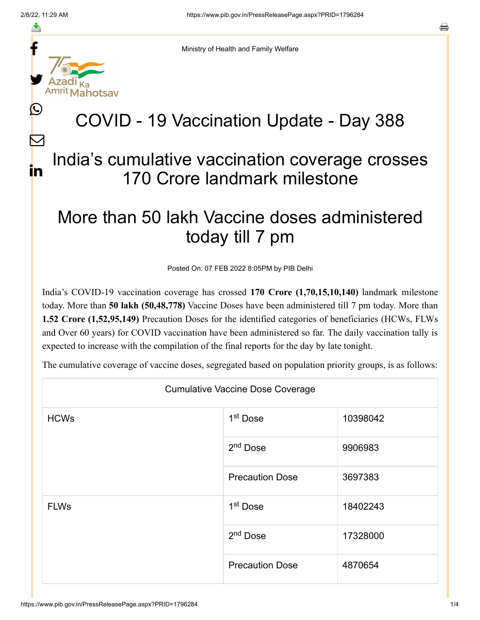f

≛

y.

L

 $\bm{\nabla}$ 

in



## COVID - 19 Vaccination Update - Day 388

## India's cumulative vaccination coverage crosses 170 Crore landmark milestone

## More than 50 lakh Vaccine doses administered today till 7 pm

Posted On: 07 FEB 2022 8:05PM by PIB Delhi

India's COVID-19 vaccination coverage has crossed **170 Crore (1,70,15,10,140)** landmark milestone today. More than **50 lakh (50,48,778)** Vaccine Doses have been administered till 7 pm today. More than **1.52 Crore (1,52,95,149)** Precaution Doses for the identified categories of beneficiaries (HCWs, FLWs and Over 60 years) for COVID vaccination have been administered so far. The daily vaccination tally is expected to increase with the compilation of the final reports for the day by late tonight.

The cumulative coverage of vaccine doses, segregated based on population priority groups, is as follows:

| <b>Cumulative Vaccine Dose Coverage</b> |                        |          |  |  |
|-----------------------------------------|------------------------|----------|--|--|
| <b>HCWs</b>                             | 1 <sup>st</sup> Dose   | 10398042 |  |  |
|                                         | 2 <sup>nd</sup> Dose   | 9906983  |  |  |
|                                         | <b>Precaution Dose</b> | 3697383  |  |  |
| <b>FLWs</b>                             | 1 <sup>st</sup> Dose   | 18402243 |  |  |
|                                         | $2nd$ Dose             | 17328000 |  |  |
|                                         | <b>Precaution Dose</b> | 4870654  |  |  |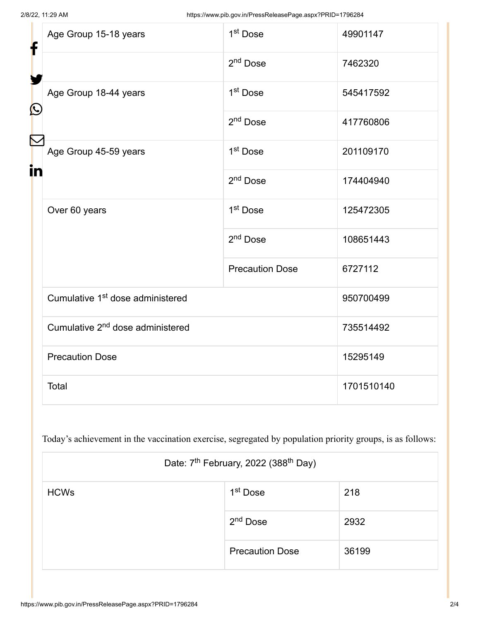| f<br>$\mathbf{\Omega}$ | Age Group 15-18 years                        | 1 <sup>st</sup> Dose   | 49901147   |
|------------------------|----------------------------------------------|------------------------|------------|
|                        |                                              | $2nd$ Dose             | 7462320    |
|                        | Age Group 18-44 years                        | 1 <sup>st</sup> Dose   | 545417592  |
|                        |                                              | $2nd$ Dose             | 417760806  |
| in                     | Age Group 45-59 years                        | 1 <sup>st</sup> Dose   | 201109170  |
|                        |                                              | $2nd$ Dose             | 174404940  |
|                        | Over 60 years                                | 1 <sup>st</sup> Dose   | 125472305  |
|                        |                                              | 2 <sup>nd</sup> Dose   | 108651443  |
|                        |                                              | <b>Precaution Dose</b> | 6727112    |
|                        | Cumulative 1 <sup>st</sup> dose administered |                        | 950700499  |
|                        | Cumulative 2 <sup>nd</sup> dose administered |                        | 735514492  |
|                        | <b>Precaution Dose</b>                       |                        | 15295149   |
|                        | Total                                        |                        | 1701510140 |

Today's achievement in the vaccination exercise, segregated by population priority groups, is as follows:

| Date: 7 <sup>th</sup> February, 2022 (388 <sup>th</sup> Day) |                        |       |  |
|--------------------------------------------------------------|------------------------|-------|--|
| <b>HCWs</b>                                                  | 1 <sup>st</sup> Dose   | 218   |  |
|                                                              | 2 <sup>nd</sup> Dose   | 2932  |  |
|                                                              | <b>Precaution Dose</b> | 36199 |  |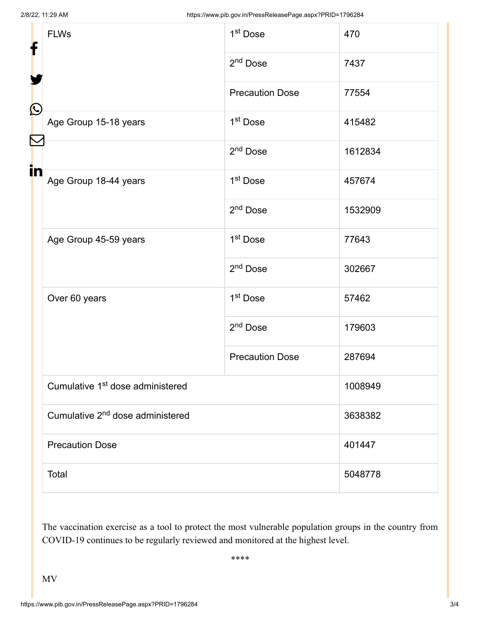| f<br>$\mathbf{\Omega}$ | <b>FLWs</b>                                  | 1 <sup>st</sup> Dose   | 470     |
|------------------------|----------------------------------------------|------------------------|---------|
|                        |                                              | 2 <sup>nd</sup> Dose   | 7437    |
|                        |                                              | <b>Precaution Dose</b> | 77554   |
|                        | Age Group 15-18 years                        | 1 <sup>st</sup> Dose   | 415482  |
|                        |                                              | 2 <sup>nd</sup> Dose   | 1612834 |
| in                     | Age Group 18-44 years                        | 1 <sup>st</sup> Dose   | 457674  |
|                        |                                              | 2 <sup>nd</sup> Dose   | 1532909 |
|                        | Age Group 45-59 years                        | 1 <sup>st</sup> Dose   | 77643   |
|                        |                                              | 2 <sup>nd</sup> Dose   | 302667  |
|                        | Over 60 years                                | 1 <sup>st</sup> Dose   | 57462   |
|                        |                                              | 2 <sup>nd</sup> Dose   | 179603  |
|                        |                                              | <b>Precaution Dose</b> | 287694  |
|                        | Cumulative 1 <sup>st</sup> dose administered |                        | 1008949 |
|                        | Cumulative 2 <sup>nd</sup> dose administered |                        | 3638382 |
|                        | <b>Precaution Dose</b>                       |                        | 401447  |
|                        | Total                                        |                        | 5048778 |

The vaccination exercise as a tool to protect the most vulnerable population groups in the country from COVID-19 continues to be regularly reviewed and monitored at the highest level.

\*\*\*\*

MV